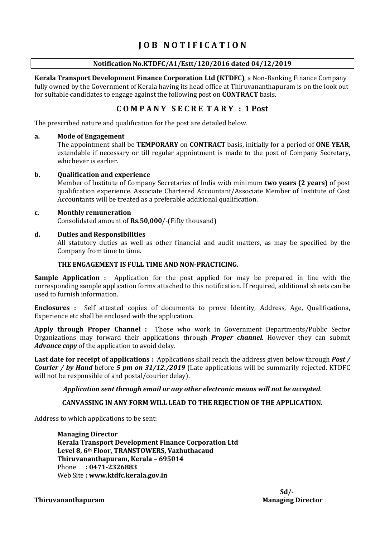# J O B N O T I F I C A T I O N

#### Notification No.KTDFC/A1/Estt/120/2016 dated 04/12/2019

Kerala Transport Development Finance Corporation Ltd (KTDFC), a Non-Banking Finance Company fully owned by the Government of Kerala having its head office at Thiruvananthapuram is on the look out for suitable candidates to engage against the following post on CONTRACT basis.

#### C O M P A N Y S E C R E T A R Y : 1 Post

The prescribed nature and qualification for the post are detailed below.

#### a. Mode of Engagement

The appointment shall be TEMPORARY on CONTRACT basis, initially for a period of ONE YEAR, extendable if necessary or till regular appointment is made to the post of Company Secretary, whichever is earlier.

#### b. Qualification and experience

Member of Institute of Company Secretaries of India with minimum **two years (2 years)** of post qualification experience. Associate Chartered Accountant/Associate Member of Institute of Cost Accountants will be treated as a preferable additional qualification.

# c. Monthly remuneration

Consolidated amount of Rs.50,000/-(Fifty thousand)

#### d. Duties and Responsibilities

All statutory duties as well as other financial and audit matters, as may be specified by the Company from time to time.

#### THE ENGAGEMENT IS FULL TIME AND NON-PRACTICING.

Sample Application : Application for the post applied for may be prepared in line with the corresponding sample application forms attached to this notification. If required, additional sheets can be used to furnish information.

Enclosures : Self attested copies of documents to prove Identity, Address, Age, Qualificationa, Experience etc shall be enclosed with the application.

Apply through Proper Channel : Those who work in Government Departments/Public Sector Organizations may forward their applications through *Proper channel*. However they can submit Advance copy of the application to avoid delay.

Last date for receipt of applications : Applications shall reach the address given below through *Post* / Courier / by Hand before 5 pm on 31/12./2019 (Late applications will be summarily rejected. KTDFC will not be responsible of and postal/courier delay).

#### Application sent through email or any other electronic means will not be accepted.

#### CANVASSING IN ANY FORM WILL LEAD TO THE REJECTION OF THE APPLICATION.

Address to which applications to be sent:

Managing Director Kerala Transport Development Finance Corporation Ltd Level 8, 6th Floor, TRANSTOWERS, Vazhuthacaud Thiruvananthapuram, Kerala – 695014 Phone : 0471-2326883 Web Site : www.ktdfc.kerala.gov.in

#### Thiruvananthapuram **Managing Director** Managing Director

 $Sd$ -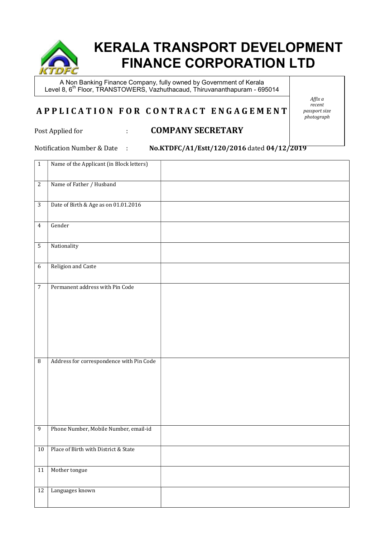

# KERALA TRANSPORT DEVELOPMENT FINANCE CORPORATION LTD

A Non Banking Finance Company, fully owned by Government of Kerala Level 8, 6<sup>th</sup> Floor, TRANSTOWERS, Vazhuthacaud, Thiruvananthapuram - 695014

## A P P L I C A T I O N F O R C O N T R A C T E N G A G E M E N T

Affix a recent passport size .<br>photoaraph

### Post Applied for : COMPANY SECRETARY

Notification Number & Date : No.KTDFC/A1/Estt/120/2016 dated 04/12/2019

| $\mathbf{1}$     | Name of the Applicant (in Block letters) |  |
|------------------|------------------------------------------|--|
| $\sqrt{2}$       | Name of Father / Husband                 |  |
| $\sqrt{3}$       | Date of Birth & Age as on 01.01.2016     |  |
| $\overline{4}$   | Gender                                   |  |
| $\sqrt{5}$       | Nationality                              |  |
| $\boldsymbol{6}$ | Religion and Caste                       |  |
| $\overline{7}$   | Permanent address with Pin Code          |  |
| $\, 8$           | Address for correspondence with Pin Code |  |
| $\overline{9}$   | Phone Number, Mobile Number, email-id    |  |
| 10               | Place of Birth with District & State     |  |
| $11\,$           | Mother tongue                            |  |
| 12               | Languages known                          |  |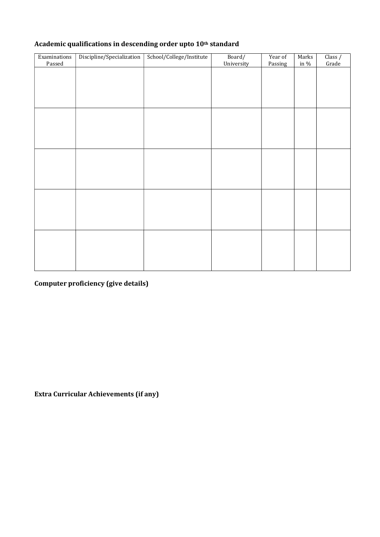| Examinations<br>Passed | Discipline/Specialization | School/College/Institute | Board/     | Year of | Marks<br>in $\%$ | Class /<br>Grade |
|------------------------|---------------------------|--------------------------|------------|---------|------------------|------------------|
|                        |                           |                          | University | Passing |                  |                  |
|                        |                           |                          |            |         |                  |                  |
|                        |                           |                          |            |         |                  |                  |
|                        |                           |                          |            |         |                  |                  |
|                        |                           |                          |            |         |                  |                  |
|                        |                           |                          |            |         |                  |                  |
|                        |                           |                          |            |         |                  |                  |
|                        |                           |                          |            |         |                  |                  |
|                        |                           |                          |            |         |                  |                  |
|                        |                           |                          |            |         |                  |                  |
|                        |                           |                          |            |         |                  |                  |
|                        |                           |                          |            |         |                  |                  |
|                        |                           |                          |            |         |                  |                  |
|                        |                           |                          |            |         |                  |                  |
|                        |                           |                          |            |         |                  |                  |
|                        |                           |                          |            |         |                  |                  |
|                        |                           |                          |            |         |                  |                  |
|                        |                           |                          |            |         |                  |                  |
|                        |                           |                          |            |         |                  |                  |
|                        |                           |                          |            |         |                  |                  |
|                        |                           |                          |            |         |                  |                  |
|                        |                           |                          |            |         |                  |                  |
|                        |                           |                          |            |         |                  |                  |

# Computer proficiency (give details)

Extra Curricular Achievements (if any)